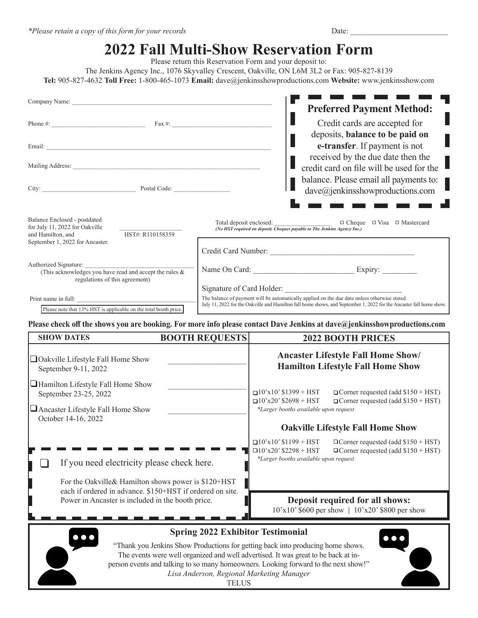|                                                                                                                       | Please return this Reservation Form and your deposit to: | <b>2022 Fall Multi-Show Reservation Form</b>                                                                                                                                                                                                      |  |
|-----------------------------------------------------------------------------------------------------------------------|----------------------------------------------------------|---------------------------------------------------------------------------------------------------------------------------------------------------------------------------------------------------------------------------------------------------|--|
|                                                                                                                       |                                                          | The Jenkins Agency Inc., 1076 Skyvalley Crescent, Oakville, ON L6M 3L2 or Fax: 905-827-8139<br>Tel: 905-827-4632 Toll Free: 1-800-465-1073 Email: dave@jenkinsshowproductions.com Website: www.jenkinsshow.com                                    |  |
| Company Name: The Company Name:                                                                                       |                                                          | <b>Preferred Payment Method:</b>                                                                                                                                                                                                                  |  |
|                                                                                                                       |                                                          | Credit cards are accepted for<br>deposits, balance to be paid on                                                                                                                                                                                  |  |
|                                                                                                                       |                                                          | e-transfer. If payment is not<br>received by the due date then the                                                                                                                                                                                |  |
| City: <u>New York:</u> Postal Code:                                                                                   |                                                          | credit card on file will be used for the<br>balance. Please email all payments to:<br>dave@jenkinsshowproductions.com                                                                                                                             |  |
|                                                                                                                       |                                                          |                                                                                                                                                                                                                                                   |  |
| Balance Enclosed - postdated<br>for July 11, 2022 for Oakville<br>HST#: R110158359<br>and Hamilton, and               | Total deposit enclosed:                                  | $\Box$ Cheque $\Box$ Visa $\Box$ Mastercard<br>(No HST required on deposit. Cheques payable to The Jenkins Agency Inc.)                                                                                                                           |  |
| September 1, 2022 for Ancaster.                                                                                       |                                                          |                                                                                                                                                                                                                                                   |  |
| Authorized Signature:<br>(This acknowledges you have read and accept the rules $\&$<br>regulations of this agreement) |                                                          |                                                                                                                                                                                                                                                   |  |
| Print name in full:<br>Please note that 13% HST is applicable on the total booth price.                               |                                                          | Signature of Card Holder:<br>The balance of payment will be automatically applied on the due date unless otherwise stated.<br>July 11, 2022 for the Oakville and Hamilton fall home shows, and September 1, 2022 for the Ancaster fall home show. |  |
|                                                                                                                       |                                                          | Please check off the shows you are booking. For more info please contact Dave Jenkins at dave@jenkinsshowproductions.com                                                                                                                          |  |
| <b>SHOW DATES</b>                                                                                                     | <b>BOOTH REQUESTS</b>                                    | <b>2022 BOOTH PRICES</b>                                                                                                                                                                                                                          |  |
| □ Oakville Lifestyle Fall Home Show<br>September 9-11, 2022                                                           |                                                          | <b>Ancaster Lifestyle Fall Home Show/</b><br><b>Hamilton Lifestyle Fall Home Show</b>                                                                                                                                                             |  |
| $\Box$ Hamilton Lifestyle Fall Home Show<br>September 23-25, 2022                                                     |                                                          | $\Box$ 10'x10' \$1399 + HST $\Box$ Corner requested (add \$150 + HST)<br>$\Box$ Corner requested (add \$150 + HST)<br>$\Box$ 10'x20' \$2698 + HST                                                                                                 |  |
| Ancaster Lifestyle Fall Home Show<br>October 14-16, 2022                                                              |                                                          | *Larger booths available upon request                                                                                                                                                                                                             |  |
|                                                                                                                       |                                                          | <b>Oakville Lifestyle Fall Home Show</b>                                                                                                                                                                                                          |  |
| If you need electricity please check here.                                                                            |                                                          | $\Box$ 10'x10' \$1199 + HST<br>$\Box$ Corner requested (add \$150 + HST)<br>$\Box$ 10'x20' \$2298 + HST<br>$\Box$ Corner requested (add \$150 + HST)<br>*Larger booths available upon request                                                     |  |
| For the Oakville& Hamilton shows power is \$120+HST<br>each if ordered in advance. \$150+HST if ordered on site.      |                                                          |                                                                                                                                                                                                                                                   |  |

**Deposit required for all shows:** 10'x10' \$600 per show **|** 10'x20' \$800 per show



Power in Ancaster is included in the booth price.

**Contract Contract** 

## **Spring 2022 Exhibitor Testimonial**

"Thank you Jenkins Show Productions for getting back into producing home shows. The events were well organized and well advertised. It was great to be back at inperson events and talking to so many homeowners. Looking forward to the next show!" *Lisa Anderson, Regional Marketing Manager* TELUS

 $\bullet\bullet\bullet$